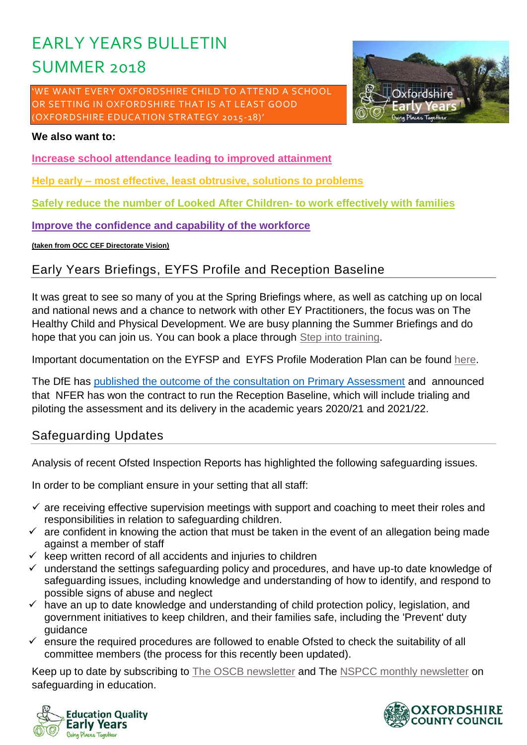# EARLY YEARS BULLETIN SUMMER 2018

'WE WANT EVERY OXFORDSHIRE CHILD TO ATTEND A SCHOOL OR SETTING IN OXFORDSHIRE THAT IS AT LEAST GOOD (OXFORDSHIRE EDUCATION STRATEGY 2015-18)'



#### **We also want to:**

**Increase school attendance leading to improved attainment**

**Help early – most effective, least obtrusive, solutions to problems**

**Safely reduce the number of Looked After Children- to work effectively with families**

**Improve the confidence and capability of the workforce**

**(taken from OCC CEF Directorate Vision)**

# **Early Years Briefings, EYFS Profile and Reception Baseline**

It was great to see so many of you at the Spring Briefings where, as well as catching up on local and national news and a chance to network with other EY Practitioners, the focus was on The Healthy Child and Physical Development. We are busy planning the Summer Briefings and do hope that you can join us. You can book a place through [Step into training.](https://www2.oxfordshire.gov.uk/cms/public-site/step-training)

Important documentation on the EYFSP and EYFS Profile Moderation Plan can be found [here.](https://www2.oxfordshire.gov.uk/cms/content/early-education-toolkit#early-years-foundation-stage-eyfs-)

The DfE has published **[the outcome of the consultation on Primary Assessment](https://www.gov.uk/government/consultations/primary-assessment-in-england?utm_source=Foundation+Years&utm_campaign=a9438a2a6f-EMAIL_CAMPAIGN_2018_04_23&utm_medium=email&utm_term=0_e05004a334-a9438a2a6f-281275821)** and announced that NFER has won the contract to run the Reception Baseline, which will include trialing and piloting the assessment and its delivery in the academic years 2020/21 and 2021/22.

# **Safeguarding Updates**

Analysis of recent Ofsted Inspection Reports has highlighted the following safeguarding issues.

In order to be compliant ensure in your setting that all staff:

- $\checkmark$  are receiving effective supervision meetings with support and coaching to meet their roles and responsibilities in relation to safeguarding children.
- $\checkmark$  are confident in knowing the action that must be taken in the event of an allegation being made against a member of staff
- $\checkmark$  keep written record of all accidents and injuries to children
- $\checkmark$  understand the settings safeguarding policy and procedures, and have up-to date knowledge of safeguarding issues, including knowledge and understanding of how to identify, and respond to possible signs of abuse and neglect
- $\checkmark$  have an up to date knowledge and understanding of child protection policy, legislation, and government initiatives to keep children, and their families safe, including the 'Prevent' duty guidance
- $\checkmark$  ensure the required procedures are followed to enable Ofsted to check the suitability of all committee members (the process for this recently been updated).

Keep up to date by subscribing to [The OSCB newsletter](http://www.oscb.org.uk/oscb-publications/newsletters-and-bulletins/) and The [NSPCC monthly newsletter](https://www.nspcc.org.uk/preventing-abuse/safeguarding/schools-protecting-children-abuse-neglect/sign-up-to-safeguarding-in-education-update/?_t_id=1B2M2Y8AsgTpgAmY7PhCfg%3d%3d&_t_q=safeguarding+in+education+updates&_t_tags=language%3aen%2csiteid%3a7f1b9313-bf5e-4415-abf6-aaf87298c667&_t_ip=109.148.230.90&_t_hit.id=Nspcc_Web_Models_Pages_StandardPage/_a8fd4296-a88c-4ca0-9697-16a0a4457196_en-GB&_t_hit.pos=1) on safeguarding in education.



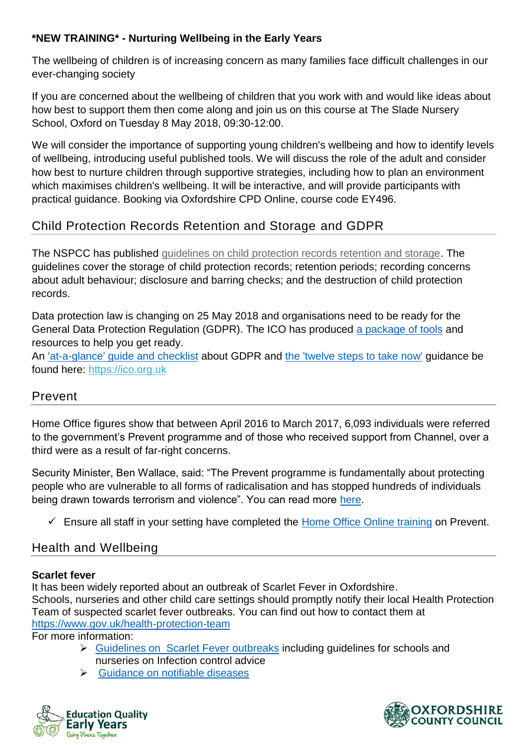## **\*NEW TRAINING\* - Nurturing Wellbeing in the Early Years**

The wellbeing of children is of increasing concern as many families face difficult challenges in our ever-changing society

If you are concerned about the wellbeing of children that you work with and would like ideas about how best to support them then come along and join us on this course at The Slade Nursery School, Oxford on Tuesday 8 May 2018, 09:30-12:00.

We will consider the importance of supporting young children's wellbeing and how to identify levels of wellbeing, introducing useful published tools. We will discuss the role of the adult and consider how best to nurture children through supportive strategies, including how to plan an environment which maximises children's wellbeing. It will be interactive, and will provide participants with practical guidance. Booking via Oxfordshire CPD Online, course code EY496.

# **Child Protection Records Retention and Storage and GDPR**

The NSPCC has published [guidelines on child protection records retention and storage.](https://www.nspcc.org.uk/globalassets/documents/information-service/child-protection-records-retention-and-storage.pdf?_t_id=1B2M2Y8AsgTpgAmY7PhCfg%3d%3d&_t_q=guidance+on+retention+of+records&_t_tags=language%3aen%2csiteid%3a7f1b9313-bf5e-4415-abf6-aaf87298c667&_t_ip=194.81.226.175&_t_hit.id=Nspcc_Web_Models_Media_GenericMedia/_5ada9eeb-fd97-41eb-ba2e-cf251448cc88&_t_hit.pos=1) The guidelines cover the storage of child protection records; retention periods; recording concerns about adult behaviour; disclosure and barring checks; and the destruction of child protection records.

Data protection law is changing on 25 May 2018 and organisations need to be ready for the General Data Protection Regulation (GDPR). The ICO has produced [a package of tools](https://ico.org.uk/for-organisations/resources-and-support/getting-ready-for-the-gdpr-resources/) and resources to help you get ready.

An ['at-a-glance' guide and checklist](https://ico.org.uk/for-organisations/guide-to-the-general-data-protection-regulation-gdpr/accountability-and-governance/documentation) about GDPR and [the 'twelve steps to take now'](https://ico.org.uk/media/1624219/preparing-for-the-gdpr-12-steps.pdf) guidance be found here: [https://ico.org.uk](https://safeguardinginschools.us12.list-manage.com/track/click?u=efe032677d94ceba51dd39a7f&id=bf11cbcc67&e=e2fd8af67c)

# **Prevent**

Home Office figures show that between April 2016 to March 2017, 6,093 individuals were referred to the government's Prevent programme and of those who received support from Channel, over a third were as a result of far-right concerns.

Security Minister, Ben Wallace, said: "The Prevent programme is fundamentally about protecting people who are vulnerable to all forms of radicalisation and has stopped hundreds of individuals being drawn towards terrorism and violence". You can read more [here.](https://www.gov.uk/government/news/new-figures-show-improved-referrals-to-prevent-and-a-rise-in-far-right-concerns)

✓ Ensure all staff in your setting have completed the [Home Office Online training](https://www.elearning.prevent.homeoffice.gov.uk/) on Prevent.

# **Health and Wellbeing**

## **Scarlet fever**

It has been widely reported about an outbreak of Scarlet Fever in Oxfordshire. Schools, nurseries and other child care settings should promptly notify their local Health Protection Team of suspected scarlet fever outbreaks. You can find out how to contact them at <https://www.gov.uk/health-protection-team>

For more information:

- ➢ [Guidelines on Scarlet Fever outbreaks](https://www.gov.uk/government/uploads/system/uploads/attachment_data/file/656687/Guidelines_for_the_public_health_management_of_scarlet_fever_outbreaks__.pdf) including guidelines for schools and nurseries on Infection control advice
- ➢ [Guidance on notifiable diseases](https://www.gov.uk/guidance/notifiable-diseases-and-causative-organisms-how-to-report)



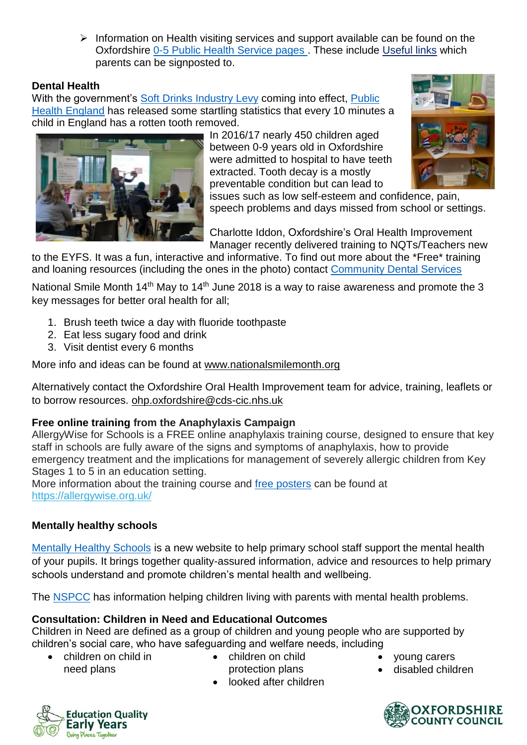➢ Information on Health visiting services and support available can be found on the Oxfordshire [0-5 Public Health Service pages](https://www.oxfordhealth.nhs.uk/0-5-years-public-health-service/) . These include [Useful links](https://www.oxfordhealth.nhs.uk/0-5-years-public-health-service/useful-links/) which parents can be signposted to.

#### **Dental Health**

With the government's [Soft Drinks Industry Levy](https://www.gov.uk/government/publications/soft-drinks-industry-levy/soft-drinks-industry-levy) coming into effect, Public [Health England](https://www.gov.uk/government/news/every-10-minutes-a-child-in-england-has-a-rotten-tooth-removed) has released some startling statistics that every 10 minutes a child in England has a rotten tooth removed.



In 2016/17 nearly 450 children aged between 0-9 years old in Oxfordshire were admitted to hospital to have teeth extracted. Tooth decay is a mostly preventable condition but can lead to



issues such as low self-esteem and confidence, pain, speech problems and days missed from school or settings.

Charlotte Iddon, Oxfordshire's Oral Health Improvement Manager recently delivered training to NQTs/Teachers new

to the EYFS. It was a fun, interactive and informative. To find out more about the \*Free\* training and loaning resources (including the ones in the photo) contact [Community Dental Services](https://communitydentalservices.co.uk/our-services/oxfordshire-oral-health-promotion-2/)

National Smile Month 14<sup>th</sup> May to 14<sup>th</sup> June 2018 is a way to raise awareness and promote the 3 key messages for better oral health for all;

- 1. Brush teeth twice a day with fluoride toothpaste
- 2. Eat less sugary food and drink
- 3. Visit dentist every 6 months

More info and ideas can be found at [www.nationalsmilemonth.org](http://www.nationalsmilemonth.org/)

Alternatively contact the Oxfordshire Oral Health Improvement team for advice, training, leaflets or to borrow resources. [ohp.oxfordshire@cds-cic.nhs.uk](mailto:ohp.oxfordshire@cds-cic.nhs.uk)

#### **Free online training from the Anaphylaxis Campaign**

AllergyWise for Schools is a FREE online anaphylaxis training course, designed to ensure that key staff in schools are fully aware of the signs and symptoms of anaphylaxis, how to provide emergency treatment and the implications for management of severely allergic children from Key Stages 1 to 5 in an education setting.

More information about the training course and [free posters](https://www.anaphylaxis.org.uk/information-training/our-posters/) can be found at [https://allergywise.org.uk/](https://safeguardinginschools.us12.list-manage.com/track/click?u=efe032677d94ceba51dd39a7f&id=0a0e3a38c3&e=e2fd8af67c)

#### **Mentally healthy schools**

[Mentally Healthy Schools](https://www.mentallyhealthyschools.org.uk/?mc_cid=f49c132db5&mc_eid=e2fd8af67c) is a new website to help primary school staff support the mental health of your pupils. It brings together quality-assured information, advice and resources to help primary schools understand and promote children's mental health and wellbeing.

The [NSPCC](https://www.nspcc.org.uk/preventing-abuse/child-protection-system/parental-mental-health/?_t_id=1B2M2Y8AsgTpgAmY7PhCfg%3d%3d&_t_q=parental+mental+health&_t_tags=language%3aen%2csiteid%3a7f1b9313-bf5e-4415-abf6-aaf87298c667&_t_ip=109.148.230.90&_t_hit.id=Nspcc_Web_Models_Pages_StandardPage/_f364ed6e-d3a1-46d2-ae44-32a43eeeedfd_en-GB&_t_hit.pos=1) has information helping children living with parents with mental health problems.

#### **Consultation: Children in Need and Educational Outcomes**

Children in Need are defined as a group of children and young people who are supported by children's social care, who have safeguarding and welfare needs, including

- children on child in need plans
- children on child protection plans
- looked after children
- young carers
- disabled children



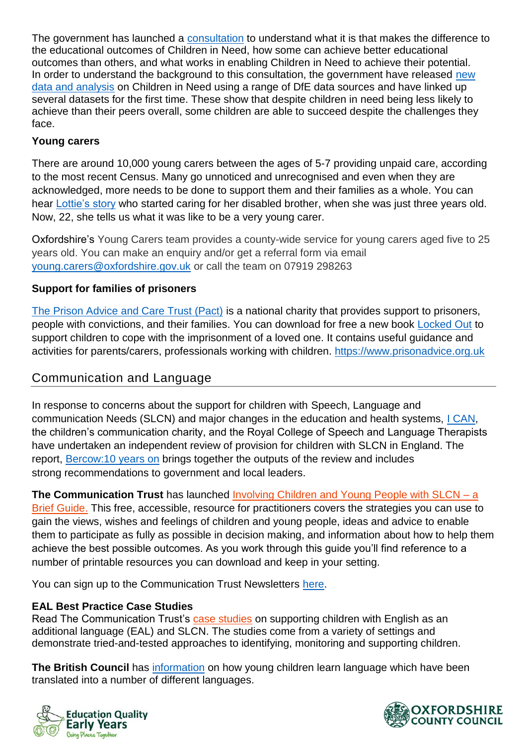The government has launched a [consultation](https://consult.education.gov.uk/child-protection-safeguarding-and-family-law/children-in-need-of-help-and-protection-call-for-e/) to understand what it is that makes the difference to the educational outcomes of Children in Need, how some can achieve better educational outcomes than others, and what works in enabling Children in Need to achieve their potential. In order to understand the background to this consultation, the government have released new [data and analysis](https://assets.publishing.service.gov.uk/government/uploads/system/uploads/attachment_data/file/690999/Children_in_Need_of_help_and_protection_Data_and_analysis.pdf) on Children in Need using a range of DfE data sources and have linked up several datasets for the first time. These show that despite children in need being less likely to achieve than their peers overall, some children are able to succeed despite the challenges they face.

#### **Young carers**

There are around 10,000 young carers between the ages of 5-7 providing unpaid care, according to the most recent Census. Many go unnoticed and unrecognised and even when they are acknowledged, more needs to be done to support them and their families as a whole. You can hear [Lottie's story](https://carers.org/young-carers-awareness-day-2018?mc_cid=1d75fa2220&mc_eid=e2fd8af67c) who started caring for her disabled brother, when she was just three years old. Now, 22, she tells us what it was like to be a very young carer.

Oxfordshire's Young Carers team provides a county-wide service for young carers aged five to 25 years old. You can make an enquiry and/or get a referral form via email [young.carers@oxfordshire.gov.uk](mailto:young.carers@oxfordshire.gov.uk) or call the team on 07919 298263

#### **Support for families of prisoners**

[The Prison Advice and Care Trust \(Pact\)](https://www.prisonadvice.org.uk/) is a national charity that provides support to prisoners, people with convictions, and their families. You can download for free a new book [Locked Out](https://www.prisonadvice.org.uk/locked-out) to support children to cope with the imprisonment of a loved one. It contains useful guidance and activities for parents/carers, professionals working with children. [https://www.prisonadvice.org.uk](https://www.prisonadvice.org.uk/)

# **Communication and Language**

In response to concerns about the support for children with Speech, Language and communication Needs (SLCN) and major changes in the education and health systems, [I CAN,](https://www.ican.org.uk/) the children's communication charity, and the Royal College of Speech and Language Therapists have undertaken an independent review of provision for children with SLCN in England. The report, [Bercow:10 years on](https://www.rcslt.org/governments/bercow_ten) brings together the outputs of the review and includes strong recommendations to government and local leaders.

**The Communication Trust** has launched [Involving Children and Young People with SLCN –](https://foundationyears.us2.list-manage.com/track/click?u=44faaa73d6419d1513179588a&id=52b49e17ac&e=b64d617d2d) a [Brief Guide.](https://foundationyears.us2.list-manage.com/track/click?u=44faaa73d6419d1513179588a&id=52b49e17ac&e=b64d617d2d) This free, accessible, resource for practitioners covers the strategies you can use to gain the views, wishes and feelings of children and young people, ideas and advice to enable them to participate as fully as possible in decision making, and information about how to help them achieve the best possible outcomes. As you work through this guide you'll find reference to a number of printable resources you can download and keep in your setting.

You can sign up to the Communication Trust Newsletters [here.](https://www.thecommunicationtrust.org.uk/latest-news/our-newsletters/)

#### EAL Best Practice Case Studies

**Read The Communication Trust's [case studies](https://foundationyears.us2.list-manage.com/track/click?u=44faaa73d6419d1513179588a&id=7e5456ad47&e=b64d617d2d) on supporting children with English as an additional language (EAL) and SLCN. The studies come from a variety of settings and demonstrate tried-and-tested approaches to identifying, monitoring and supporting children.**

The British Council **has [information](https://learnenglishkids.britishcouncil.org/en/helping-your-child/how-young-children-learn-english-another-language) on how young children learn language which have been translated into a number of different languages.** 



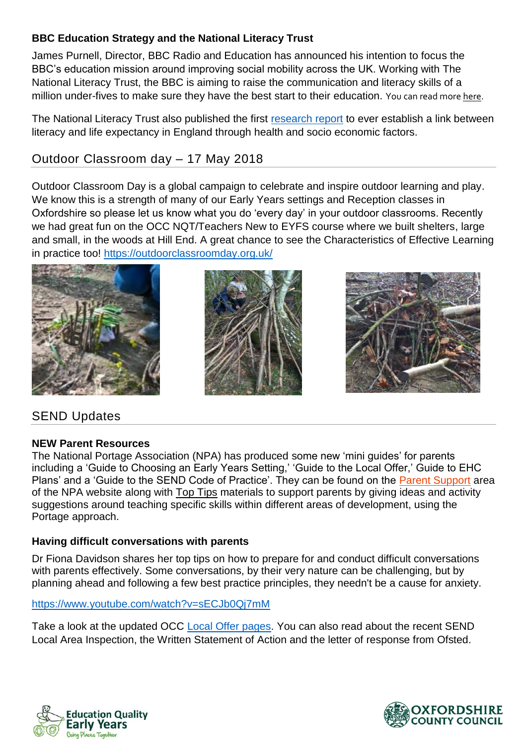## BBC Education Strategy and the National Literacy Trust

James Purnell, Director, BBC Radio and Education has announced his intention to focus the BBC's education mission around improving social mobility across the UK. Working with The National Literacy Trust, the BBC is aiming to raise the communication and literacy skills of a million under-fives to make sure they have the best start to their education. You can read mor[e here.](https://literacytrust.org.uk/news/we-partner-bbc-its-new-education-strategy/)

The National Literacy Trust also published the first [research report](https://literacytrust.org.uk/research-services/research-reports/literacy-and-life-expectancy/) to ever establish a link between literacy and life expectancy in England through health and socio economic factors.

# **Outdoor Classroom day – 17 May 2018**

Outdoor Classroom Day is a global campaign to celebrate and inspire outdoor learning and play. We know this is a strength of many of our Early Years settings and Reception classes in Oxfordshire so please let us know what you do 'every day' in your outdoor classrooms. Recently we had great fun on the OCC NQT/Teachers New to EYFS course where we built shelters, large and small, in the woods at Hill End. A great chance to see the Characteristics of Effective Learning in practice too! <https://outdoorclassroomday.org.uk/>







# **SEND Updates**

#### NEW Parent Resources

**The National Portage Association (NPA) has produced some new 'mini guides' for parents including a 'Guide to Choosing an Early Years Setting,' 'Guide to the Local Offer,' Guide to EHC Plans' and a 'Guide to the SEND Code of Practice'. They can be found on the [Parent Support](https://foundationyears.us2.list-manage.com/track/click?u=44faaa73d6419d1513179588a&id=bb6dcd941b&e=b64d617d2d) area of the NPA website along with [Top Tips](https://foundationyears.us2.list-manage.com/track/click?u=44faaa73d6419d1513179588a&id=4f2e23414a&e=b64d617d2d) materials to support parents by giving ideas and activity suggestions around teaching specific skills within different areas of development, using the Portage approach.**

#### **Having difficult conversations with parents**

Dr Fiona Davidson shares her top tips on how to prepare for and conduct difficult conversations with parents effectively. Some conversations, by their very nature can be challenging, but by planning ahead and following a few best practice principles, they needn't be a cause for anxiety.

#### <https://www.youtube.com/watch?v=sECJb0Qj7mM>

Take a look at the updated OCC [Local Offer pages.](https://www2.oxfordshire.gov.uk/cms/public-site/special-educational-needs-and-disability-local-offer) You can also read about the recent SEND Local Area Inspection, the Written Statement of Action and the letter of response from Ofsted.



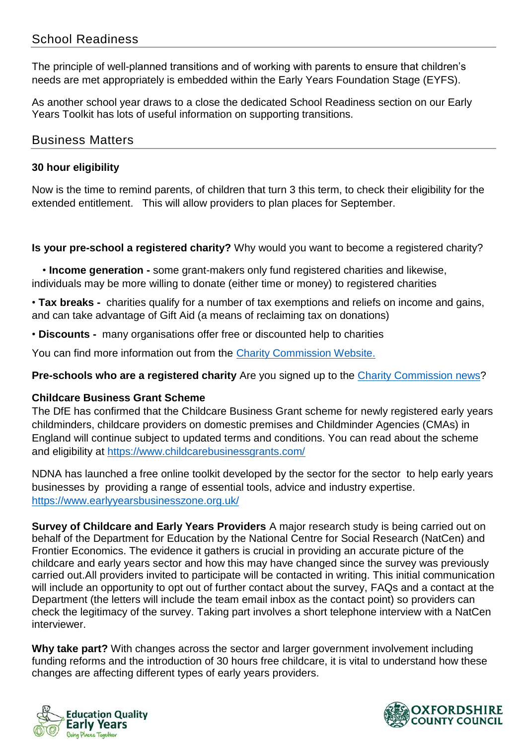# **School Readiness**

The principle of well-planned transitions and of working with parents to ensure that children's needs are met appropriately is embedded within the Early Years Foundation Stage (EYFS).

As another school year draws to a close the dedicated School Readiness section on our Early Years Toolkit has lots of useful information on supporting transitions.

#### **Business Matters**

#### **30 hour eligibility**

Now is the time to remind parents, of children that turn 3 this term, to check their eligibility for the extended entitlement. This will allow providers to plan places for September.

**Is your pre-school a registered charity?** Why would you want to become a registered charity?

**A** • **Income generation -** some grant-makers only fund registered charities and likewise, individuals may be more willing to donate (either time or money) to registered charities

• **Tax breaks -** charities qualify for a number of tax exemptions and reliefs on income and gains, and can take advantage of Gift Aid (a means of reclaiming tax on donations)

• **Discounts -** many organisations offer free or discounted help to charities

You can find more information out from the [Charity Commission Website.](https://www.gov.uk/government/organisations/charity-commission)

**Pre-schools who are a registered charity** Are you signed up to the [Charity Commission news?](https://www.gov.uk/government/publications/charity-commission-news-issue-59)

#### **Childcare Business Grant Scheme**

The DfE has confirmed that the Childcare Business Grant scheme for newly registered early years childminders, childcare providers on domestic premises and Childminder Agencies (CMAs) in England will continue subject to updated terms and conditions. You can read about the scheme and eligibility at<https://www.childcarebusinessgrants.com/>

NDNA has launched a free online toolkit developed by the sector for the sector to help early years businesses by providing a range of essential tools, advice and industry expertise. <https://www.earlyyearsbusinesszone.org.uk/>

**Survey of Childcare and Early Years Providers** A major research study is being carried out on behalf of the Department for Education by the National Centre for Social Research (NatCen) and Frontier Economics. The evidence it gathers is crucial in providing an accurate picture of the childcare and early years sector and how this may have changed since the survey was previously carried out.All providers invited to participate will be contacted in writing. This initial communication will include an opportunity to opt out of further contact about the survey, FAQs and a contact at the Department (the letters will include the team email inbox as the contact point) so providers can check the legitimacy of the survey. Taking part involves a short telephone interview with a NatCen interviewer.

**Why take part?** With changes across the sector and larger government involvement including funding reforms and the introduction of 30 hours free childcare, it is vital to understand how these changes are affecting different types of early years providers.